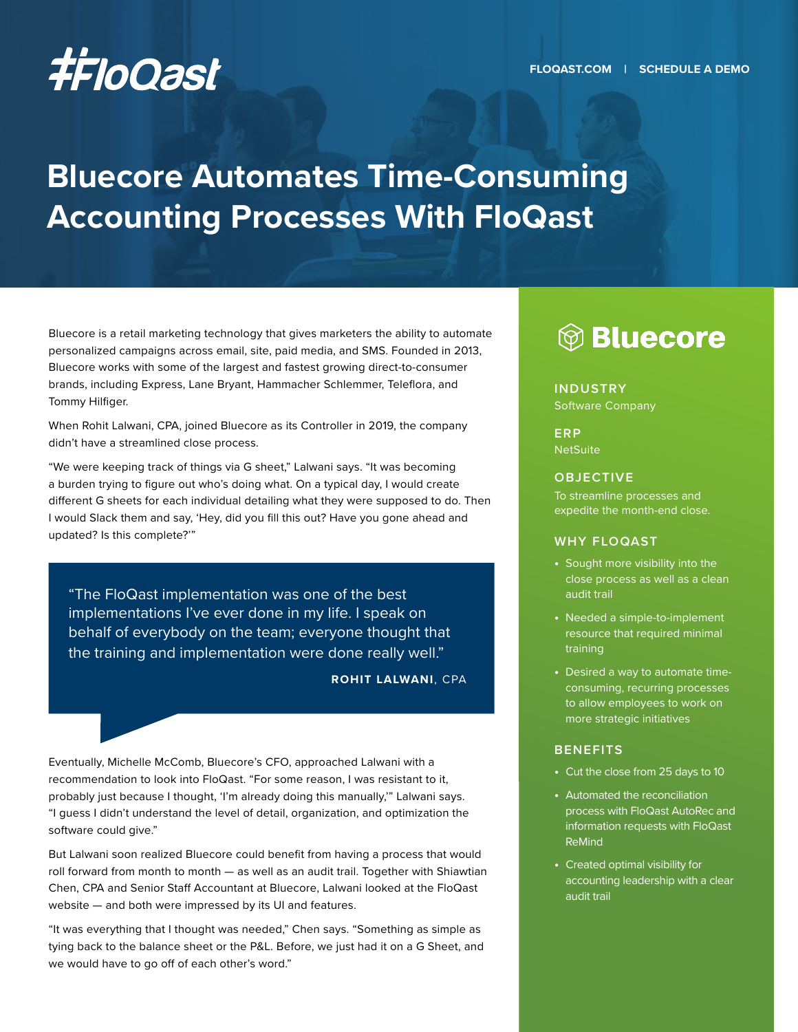# **Bluecore Automates Time-Consuming Accounting Processes With FloQast**

Bluecore is a retail marketing technology that gives marketers the ability to automate personalized campaigns across email, site, paid media, and SMS. Founded in 2013, Bluecore works with some of the largest and fastest growing direct-to-consumer brands, including Express, Lane Bryant, Hammacher Schlemmer, Teleflora, and Tommy Hilfiger.

When Rohit Lalwani, CPA, joined Bluecore as its Controller in 2019, the company didn't have a streamlined close process.

"We were keeping track of things via G sheet," Lalwani says. "It was becoming a burden trying to figure out who's doing what. On a typical day, I would create different G sheets for each individual detailing what they were supposed to do. Then I would Slack them and say, 'Hey, did you fill this out? Have you gone ahead and updated? Is this complete?'"

"The FloQast implementation was one of the best implementations I've ever done in my life. I speak on behalf of everybody on the team; everyone thought that the training and implementation were done really well."

**ROHIT LALWANI**, CPA

Eventually, Michelle McComb, Bluecore's CFO, approached Lalwani with a recommendation to look into FloQast. "For some reason, I was resistant to it, probably just because I thought, 'I'm already doing this manually,'" Lalwani says. "I guess I didn't understand the level of detail, organization, and optimization the software could give."

But Lalwani soon realized Bluecore could benefit from having a process that would roll forward from month to month — as well as an audit trail. Together with Shiawtian Chen, CPA and Senior Staff Accountant at Bluecore, Lalwani looked at the FloQast website — and both were impressed by its UI and features.

"It was everything that I thought was needed," Chen says. "Something as simple as tying back to the balance sheet or the P&L. Before, we just had it on a G Sheet, and we would have to go off of each other's word."

# 

#### **INDUSTRY**

Software Company

**ERP NetSuite** 

#### **OBJECTIVE**

To streamline processes and expedite the month-end close.

#### **WHY FLOQAST**

- **•** Sought more visibility into the close process as well as a clean audit trail
- **•** Needed a simple-to-implement resource that required minimal training
- **•** Desired a way to automate timeconsuming, recurring processes to allow employees to work on more strategic initiatives

#### **BENEFITS**

- **•** Cut the close from 25 days to 10
- **•** Automated the reconciliation process with FloQast AutoRec and information requests with FloQast ReMind
- **•** Created optimal visibility for accounting leadership with a clear audit trail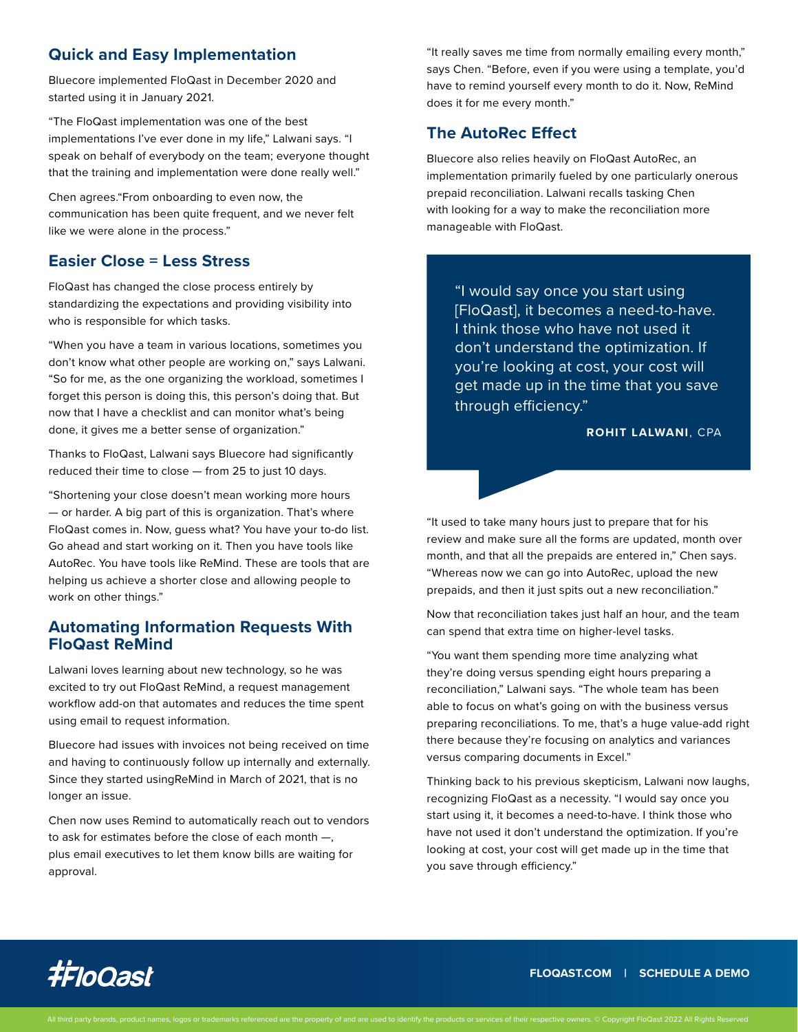# **Quick and Easy Implementation**

Bluecore implemented FloQast in December 2020 and started using it in January 2021.

"The FloQast implementation was one of the best implementations I've ever done in my life," Lalwani says. "I speak on behalf of everybody on the team; everyone thought that the training and implementation were done really well."

Chen agrees."From onboarding to even now, the communication has been quite frequent, and we never felt like we were alone in the process."

## **Easier Close = Less Stress**

FloQast has changed the close process entirely by standardizing the expectations and providing visibility into who is responsible for which tasks.

"When you have a team in various locations, sometimes you don't know what other people are working on," says Lalwani. "So for me, as the one organizing the workload, sometimes I forget this person is doing this, this person's doing that. But now that I have a checklist and can monitor what's being done, it gives me a better sense of organization."

Thanks to FloQast, Lalwani says Bluecore had significantly reduced their time to close — from 25 to just 10 days.

"Shortening your close doesn't mean working more hours — or harder. A big part of this is organization. That's where FloQast comes in. Now, guess what? You have your to-do list. Go ahead and start working on it. Then you have tools like AutoRec. You have tools like ReMind. These are tools that are helping us achieve a shorter close and allowing people to work on other things."

### **Automating Information Requests With FloQast ReMind**

Lalwani loves learning about new technology, so he was excited to try out FloQast ReMind, a request management workflow add-on that automates and reduces the time spent using email to request information.

Bluecore had issues with invoices not being received on time and having to continuously follow up internally and externally. Since they started usingReMind in March of 2021, that is no longer an issue.

Chen now uses Remind to automatically reach out to vendors to ask for estimates before the close of each month —, plus email executives to let them know bills are waiting for approval.

"It really saves me time from normally emailing every month," says Chen. "Before, even if you were using a template, you'd have to remind yourself every month to do it. Now, ReMind does it for me every month."

# **The AutoRec Effect**

Bluecore also relies heavily on FloQast AutoRec, an implementation primarily fueled by one particularly onerous prepaid reconciliation. Lalwani recalls tasking Chen with looking for a way to make the reconciliation more manageable with FloQast.

"I would say once you start using [FloQast], it becomes a need-to-have. I think those who have not used it don't understand the optimization. If you're looking at cost, your cost will get made up in the time that you save through efficiency."

**ROHIT LALWANI**, CPA

"It used to take many hours just to prepare that for his review and make sure all the forms are updated, month over month, and that all the prepaids are entered in," Chen says. "Whereas now we can go into AutoRec, upload the new prepaids, and then it just spits out a new reconciliation."

Now that reconciliation takes just half an hour, and the team can spend that extra time on higher-level tasks.

"You want them spending more time analyzing what they're doing versus spending eight hours preparing a reconciliation," Lalwani says. "The whole team has been able to focus on what's going on with the business versus preparing reconciliations. To me, that's a huge value-add right there because they're focusing on analytics and variances versus comparing documents in Excel."

Thinking back to his previous skepticism, Lalwani now laughs, recognizing FloQast as a necessity. "I would say once you start using it, it becomes a need-to-have. I think those who have not used it don't understand the optimization. If you're looking at cost, your cost will get made up in the time that you save through efficiency."



**[FLOQAST.COM](http://floqast.com) | [SCHEDULE A DEMO](https://floqast.com/schedule-a-demo/)**